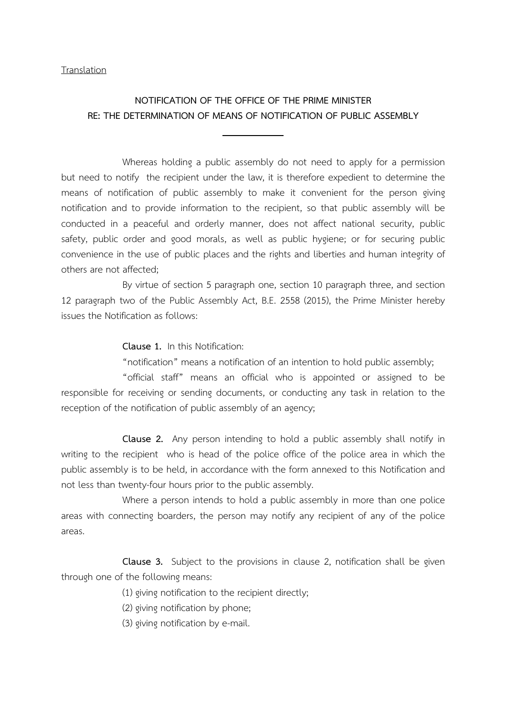**Translation** 

## NOTIFICATION OF THE OFFICE OF THE PRIME MINISTER RE: THE DETERMINATION OF MEANS OF NOTIFICATION OF PUBLIC ASSEMBLY

Whereas holding a public assembly do not need to apply for a permission but need to notify the recipient under the law, it is therefore expedient to determine the means of notification of public assembly to make it convenient for the person giving notification and to provide information to the recipient, so that public assembly will be conducted in a peaceful and orderly manner, does not affect national security, public safety, public order and good morals, as well as public hygiene; or for securing public convenience in the use of public places and the rights and liberties and human integrity of others are not affected;

By virtue of section 5 paragraph one, section 10 paragraph three, and section 12 paragraph two of the Public Assembly Act, B.E. 2558 (2015), the Prime Minister hereby issues the Notification as follows:

Clause 1. In this Notification:

"notification" means a notification of an intention to hold public assembly;

"official staff" means an official who is appointed or assigned to be responsible for receiving or sending documents, or conducting any task in relation to the reception of the notification of public assembly of an agency;

Clause 2. Any person intending to hold a public assembly shall notify in writing to the recipient who is head of the police office of the police area in which the public assembly is to be held, in accordance with the form annexed to this Notification and not less than twenty-four hours prior to the public assembly.

Where a person intends to hold a public assembly in more than one police areas with connecting boarders, the person may notify any recipient of any of the police areas.

Clause 3. Subject to the provisions in clause 2, notification shall be given through one of the following means:

(1) giving notification to the recipient directly;

(2) giving notification by phone;

(3) giving notification by e-mail.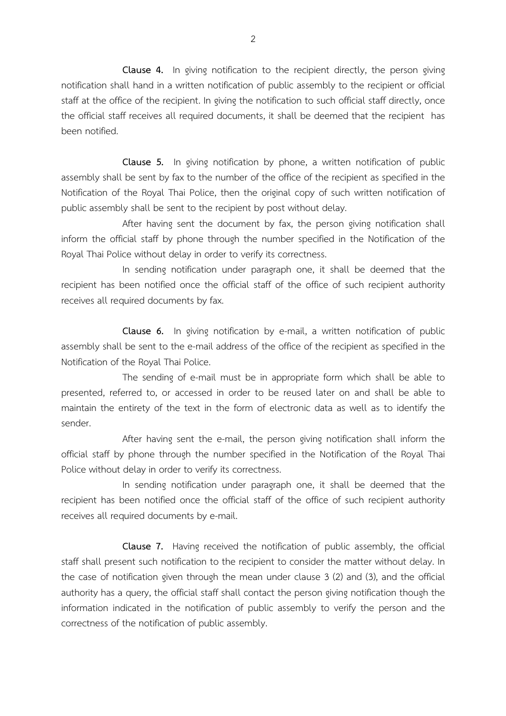Clause 4. In giving notification to the recipient directly, the person giving notification shall hand in a written notification of public assembly to the recipient or official staff at the office of the recipient. In giving the notification to such official staff directly, once the official staff receives all required documents, it shall be deemed that the recipient has been notified.

Clause 5. In giving notification by phone, a written notification of public assembly shall be sent by fax to the number of the office of the recipient as specified in the Notification of the Royal Thai Police, then the original copy of such written notification of public assembly shall be sent to the recipient by post without delay.

After having sent the document by fax, the person giving notification shall inform the official staff by phone through the number specified in the Notification of the Royal Thai Police without delay in order to verify its correctness.

In sending notification under paragraph one, it shall be deemed that the recipient has been notified once the official staff of the office of such recipient authority receives all required documents by fax.

Clause 6. In giving notification by e-mail, a written notification of public assembly shall be sent to the e-mail address of the office of the recipient as specified in the Notification of the Royal Thai Police.

The sending of e-mail must be in appropriate form which shall be able to presented, referred to, or accessed in order to be reused later on and shall be able to maintain the entirety of the text in the form of electronic data as well as to identify the sender.

After having sent the e-mail, the person giving notification shall inform the official staff by phone through the number specified in the Notification of the Royal Thai Police without delay in order to verify its correctness.

In sending notification under paragraph one, it shall be deemed that the recipient has been notified once the official staff of the office of such recipient authority receives all required documents by e-mail.

Clause 7. Having received the notification of public assembly, the official staff shall present such notification to the recipient to consider the matter without delay. In the case of notification given through the mean under clause 3 (2) and (3), and the official authority has a query, the official staff shall contact the person giving notification though the information indicated in the notification of public assembly to verify the person and the correctness of the notification of public assembly.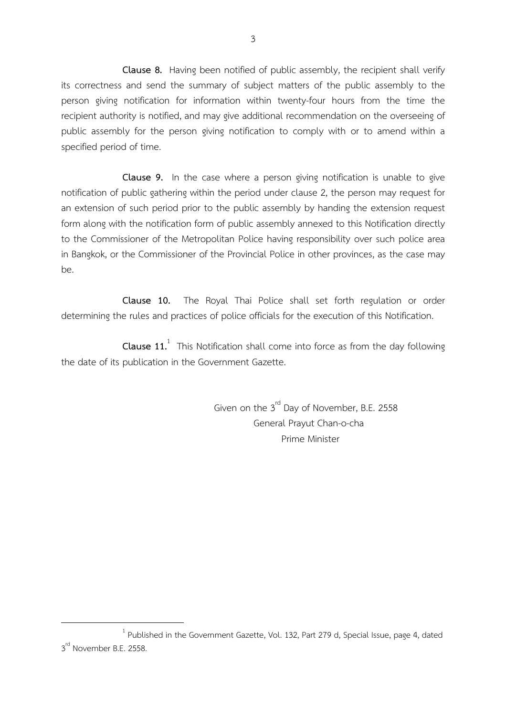Clause 8. Having been notified of public assembly, the recipient shall verify its correctness and send the summary of subject matters of the public assembly to the person giving notification for information within twenty-four hours from the time the recipient authority is notified, and may give additional recommendation on the overseeing of public assembly for the person giving notification to comply with or to amend within a specified period of time.

Clause 9. In the case where a person giving notification is unable to give notification of public gathering within the period under clause 2, the person may request for an extension of such period prior to the public assembly by handing the extension request form along with the notification form of public assembly annexed to this Notification directly to the Commissioner of the Metropolitan Police having responsibility over such police area in Bangkok, or the Commissioner of the Provincial Police in other provinces, as the case may be.

Clause 10. The Royal Thai Police shall set forth regulation or order determining the rules and practices of police officials for the execution of this Notification.

**Clause 11.** This Notification shall come into force as from the day following the date of its publication in the Government Gazette.

> Given on the 3<sup>rd</sup> Day of November, B.E. 2558 General Prayut Chan-o-cha Prime Minister

 $\overline{a}$ 

 $1$  Published in the Government Gazette, Vol. 132, Part 279 d, Special Issue, page 4, dated 3<sup>rd</sup> November B.E. 2558.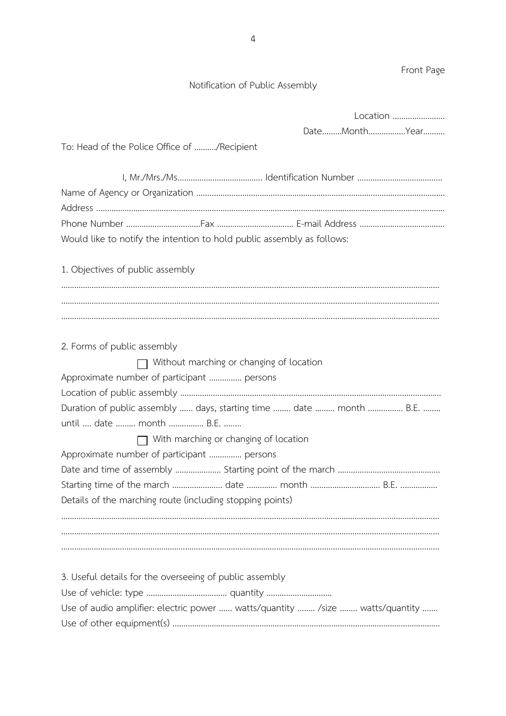Notification of Public Assembly Location …………………... Date………Month……………..Year………. To: Head of the Police Office of ………./Recipient I, Mr./Mrs./Ms.……………………………….. Identification Number ………………………………... Name of Agency or Organization ..…...……………………………………………………………………………..…….………. Address ..………………………………………………………………………………………………………………………………………….. Phone Number ……………………….……Fax ……………………..……… E-mail Address ………………………………... Would like to notify the intention to hold public assembly as follows: 1. Objectives of public assembly ………………………………………………………………………………………………………………………………………………………… ………………………………………………………………………………………………………………………………………………………… 2. Forms of public assembly Without marching or changing of location Approximate number of participant …………… persons Location of public assembly ………………………………………………………………………………………...……………... Duration of public assembly …… days, starting time ……… date ……… month ……………… B.E. ……… until …. date ….….. month ……..…….. B.E. …..… With marching or changing of location Approximate number of participant …………… persons Date and time of assembly ………………... Starting point of the march ……………………………………..… Starting time of the march …………………….. date …………… month …………………………………… B.E. ……………… Details of the marching route (including stopping points) ………………………………………………………………………………………………………………………………………………………… 3. Useful details for the overseeing of public assembly Use of vehicle: type …………...…………….…… quantity ………………………… Use of audio amplifier: electric power ...... watts/quantity ........ /size ........ watts/quantity ....... Use of other equipment(s) .……………………………………………………………………………………………..……………

Front Page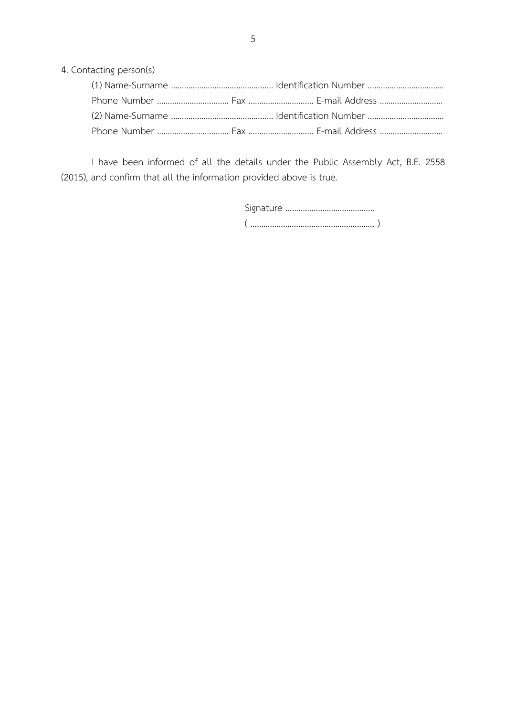4. Contacting person(s)

I have been informed of all the details under the Public Assembly Act, B.E. 2558 (2015), and confirm that all the information provided above is true.

| $\overline{\mathbf{C}}$ ……………………………………… |
|-----------------------------------------|
|                                         |